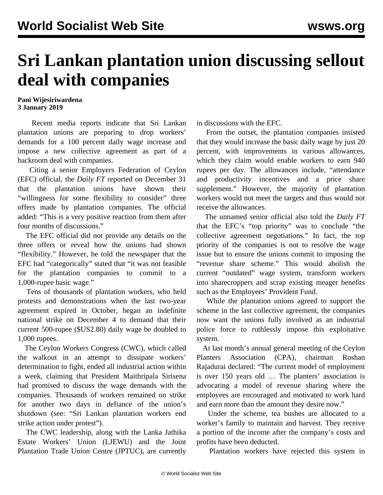## **Sri Lankan plantation union discussing sellout deal with companies**

**Pani Wijesiriwardena 3 January 2019**

 Recent media reports indicate that Sri Lankan plantation unions are preparing to drop workers' demands for a 100 percent daily wage increase and impose a new collective agreement as part of a backroom deal with companies.

 Citing a senior Employers Federation of Ceylon (EFC) official, the *Daily FT* reported on December 31 that the plantation unions have shown their "willingness for some flexibility to consider" three offers made by plantation companies. The official added: "This is a very positive reaction from them after four months of discussions."

 The EFC official did not provide any details on the three offers or reveal how the unions had shown "flexibility." However, he told the newspaper that the EFC had "categorically" stated that "it was not feasible for the plantation companies to commit to a 1,000-rupee basic wage."

 Tens of thousands of plantation workers, who held protests and demonstrations when the last two-year agreement expired in October, began an indefinite national strike on December 4 to demand that their current 500-rupee (\$US2.80) daily wage be doubled to 1,000 rupees.

 The Ceylon Workers Congress (CWC), which called the walkout in an attempt to dissipate workers' determination to fight, ended all industrial action within a week, claiming that President Maithripala Sirisena had promised to discuss the wage demands with the companies. Thousands of workers remained on strike for another two days in defiance of the union's shutdown (see: "[Sri Lankan plantation workers end](/en/articles/2018/12/15/slpl-d15.html) [strike action under protest](/en/articles/2018/12/15/slpl-d15.html)").

 The CWC leadership, along with the Lanka Jathika Estate Workers' Union (LJEWU) and the Joint Plantation Trade Union Centre (JPTUC), are currently in discussions with the EFC.

 From the outset, the plantation companies insisted that they would increase the basic daily wage by just 20 percent, with improvements in various allowances, which they claim would enable workers to earn 940 rupees per day. The allowances include, "attendance and productivity incentives and a price share supplement." However, the majority of plantation workers would not meet the targets and thus would not receive the allowances.

 The unnamed senior official also told the *Daily FT* that the EFC's "top priority" was to conclude "the collective agreement negotiations." In fact, the top priority of the companies is not to resolve the wage issue but to ensure the unions commit to imposing the "revenue share scheme." This would abolish the current "outdated" wage system, transform workers into sharecroppers and scrap existing meager benefits such as the Employees' Provident Fund.

 While the plantation unions agreed to support the scheme in the last collective agreement, the companies now want the unions fully involved as an industrial police force to ruthlessly impose this exploitative system.

 At last month's annual general meeting of the Ceylon Planters Association (CPA), chairman Roshan Rajadurai declared: "The current model of employment is over 150 years old … The planters' association is advocating a model of revenue sharing where the employees are encouraged and motivated to work hard and earn more than the amount they desire now."

 Under the scheme, tea bushes are allocated to a worker's family to maintain and harvest. They receive a portion of the income after the company's costs and profits have been deducted.

Plantation workers have rejected this system in